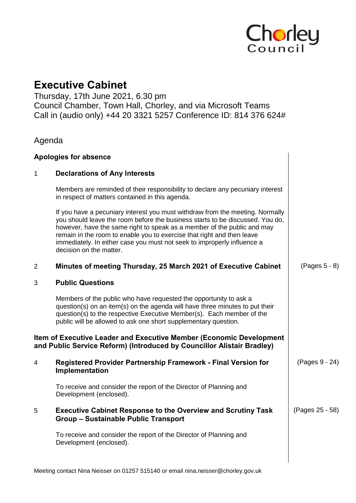

# **Executive Cabinet**

Thursday, 17th June 2021, 6.30 pm Council Chamber, Town Hall, Chorley, and via Microsoft Teams Call in (audio only) +44 20 3321 5257 Conference ID: 814 376 624#

# Agenda

#### **Apologies for absence**

## 1 **Declarations of Any Interests**

Members are reminded of their responsibility to declare any pecuniary interest in respect of matters contained in this agenda.

If you have a pecuniary interest you must withdraw from the meeting. Normally you should leave the room before the business starts to be discussed. You do, however, have the same right to speak as a member of the public and may remain in the room to enable you to exercise that right and then leave immediately. In either case you must not seek to improperly influence a decision on the matter.

#### 2 **Minutes of meeting Thursday, 25 March 2021 of Executive Cabinet** (Pages 5 - 8)

#### 3 **Public Questions**

Members of the public who have requested the opportunity to ask a question(s) on an item(s) on the agenda will have three minutes to put their question(s) to the respective Executive Member(s). Each member of the public will be allowed to ask one short supplementary question.

## **Item of Executive Leader and Executive Member (Economic Development and Public Service Reform) (Introduced by Councillor Alistair Bradley)**

| 4 | <b>Registered Provider Partnership Framework - Final Version for</b><br>Implementation                             | (Pages 9 - 24)  |
|---|--------------------------------------------------------------------------------------------------------------------|-----------------|
|   | To receive and consider the report of the Director of Planning and<br>Development (enclosed).                      |                 |
| 5 | <b>Executive Cabinet Response to the Overview and Scrutiny Task</b><br><b>Group - Sustainable Public Transport</b> | (Pages 25 - 58) |
|   | To receive and consider the report of the Director of Planning and<br>Development (enclosed).                      |                 |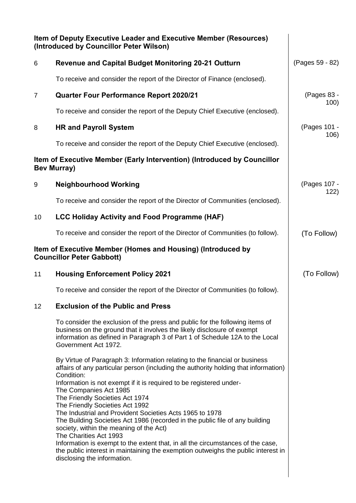| Item of Deputy Executive Leader and Executive Member (Resources)<br>(Introduced by Councillor Peter Wilson)                                                                                                                                                                                                                                                                                                                                                                                                                                                                                                                                                                                                                                                                     |                                                                                                                                                                                                  |
|---------------------------------------------------------------------------------------------------------------------------------------------------------------------------------------------------------------------------------------------------------------------------------------------------------------------------------------------------------------------------------------------------------------------------------------------------------------------------------------------------------------------------------------------------------------------------------------------------------------------------------------------------------------------------------------------------------------------------------------------------------------------------------|--------------------------------------------------------------------------------------------------------------------------------------------------------------------------------------------------|
| <b>Revenue and Capital Budget Monitoring 20-21 Outturn</b>                                                                                                                                                                                                                                                                                                                                                                                                                                                                                                                                                                                                                                                                                                                      | (Pages 59 - 82)                                                                                                                                                                                  |
| To receive and consider the report of the Director of Finance (enclosed).                                                                                                                                                                                                                                                                                                                                                                                                                                                                                                                                                                                                                                                                                                       |                                                                                                                                                                                                  |
| <b>Quarter Four Performance Report 2020/21</b>                                                                                                                                                                                                                                                                                                                                                                                                                                                                                                                                                                                                                                                                                                                                  | (Pages 83 -<br>100)                                                                                                                                                                              |
| To receive and consider the report of the Deputy Chief Executive (enclosed).                                                                                                                                                                                                                                                                                                                                                                                                                                                                                                                                                                                                                                                                                                    |                                                                                                                                                                                                  |
| <b>HR and Payroll System</b>                                                                                                                                                                                                                                                                                                                                                                                                                                                                                                                                                                                                                                                                                                                                                    | (Pages 101 -<br>106)                                                                                                                                                                             |
| To receive and consider the report of the Deputy Chief Executive (enclosed).                                                                                                                                                                                                                                                                                                                                                                                                                                                                                                                                                                                                                                                                                                    |                                                                                                                                                                                                  |
|                                                                                                                                                                                                                                                                                                                                                                                                                                                                                                                                                                                                                                                                                                                                                                                 |                                                                                                                                                                                                  |
| <b>Neighbourhood Working</b>                                                                                                                                                                                                                                                                                                                                                                                                                                                                                                                                                                                                                                                                                                                                                    | (Pages 107 -<br>122)                                                                                                                                                                             |
| To receive and consider the report of the Director of Communities (enclosed).                                                                                                                                                                                                                                                                                                                                                                                                                                                                                                                                                                                                                                                                                                   |                                                                                                                                                                                                  |
| <b>LCC Holiday Activity and Food Programme (HAF)</b>                                                                                                                                                                                                                                                                                                                                                                                                                                                                                                                                                                                                                                                                                                                            |                                                                                                                                                                                                  |
| To receive and consider the report of the Director of Communities (to follow).                                                                                                                                                                                                                                                                                                                                                                                                                                                                                                                                                                                                                                                                                                  | (To Follow)                                                                                                                                                                                      |
|                                                                                                                                                                                                                                                                                                                                                                                                                                                                                                                                                                                                                                                                                                                                                                                 |                                                                                                                                                                                                  |
| <b>Housing Enforcement Policy 2021</b>                                                                                                                                                                                                                                                                                                                                                                                                                                                                                                                                                                                                                                                                                                                                          | (To Follow)                                                                                                                                                                                      |
| To receive and consider the report of the Director of Communities (to follow).                                                                                                                                                                                                                                                                                                                                                                                                                                                                                                                                                                                                                                                                                                  |                                                                                                                                                                                                  |
| <b>Exclusion of the Public and Press</b>                                                                                                                                                                                                                                                                                                                                                                                                                                                                                                                                                                                                                                                                                                                                        |                                                                                                                                                                                                  |
| To consider the exclusion of the press and public for the following items of<br>business on the ground that it involves the likely disclosure of exempt<br>information as defined in Paragraph 3 of Part 1 of Schedule 12A to the Local<br>Government Act 1972.                                                                                                                                                                                                                                                                                                                                                                                                                                                                                                                 |                                                                                                                                                                                                  |
| By Virtue of Paragraph 3: Information relating to the financial or business<br>affairs of any particular person (including the authority holding that information)<br>Condition:<br>Information is not exempt if it is required to be registered under-<br>The Companies Act 1985<br>The Friendly Societies Act 1974<br>The Friendly Societies Act 1992<br>The Industrial and Provident Societies Acts 1965 to 1978<br>The Building Societies Act 1986 (recorded in the public file of any building<br>society, within the meaning of the Act)<br>The Charities Act 1993<br>Information is exempt to the extent that, in all the circumstances of the case,<br>the public interest in maintaining the exemption outweighs the public interest in<br>disclosing the information. |                                                                                                                                                                                                  |
|                                                                                                                                                                                                                                                                                                                                                                                                                                                                                                                                                                                                                                                                                                                                                                                 | Item of Executive Member (Early Intervention) (Introduced by Councillor<br><b>Bev Murray)</b><br>Item of Executive Member (Homes and Housing) (Introduced by<br><b>Councillor Peter Gabbott)</b> |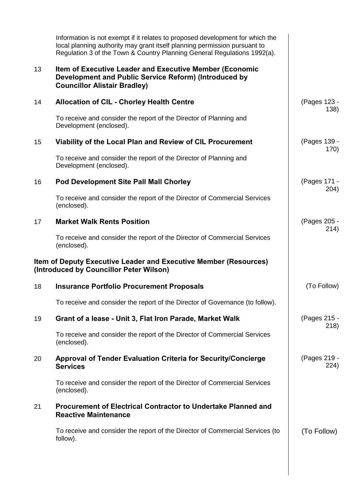|    | Information is not exempt if it relates to proposed development for which the<br>local planning authority may grant itself planning permission pursuant to<br>Regulation 3 of the Town & Country Planning General Regulations 1992(a). |                      |
|----|----------------------------------------------------------------------------------------------------------------------------------------------------------------------------------------------------------------------------------------|----------------------|
| 13 | Item of Executive Leader and Executive Member (Economic<br>Development and Public Service Reform) (Introduced by<br><b>Councillor Alistair Bradley)</b>                                                                                |                      |
| 14 | <b>Allocation of CIL - Chorley Health Centre</b>                                                                                                                                                                                       | (Pages 123 -<br>138) |
|    | To receive and consider the report of the Director of Planning and<br>Development (enclosed).                                                                                                                                          |                      |
| 15 | Viability of the Local Plan and Review of CIL Procurement                                                                                                                                                                              | (Pages 139 -<br>170) |
|    | To receive and consider the report of the Director of Planning and<br>Development (enclosed).                                                                                                                                          |                      |
| 16 | <b>Pod Development Site Pall Mall Chorley</b>                                                                                                                                                                                          | (Pages 171 -<br>204) |
|    | To receive and consider the report of the Director of Commercial Services<br>(enclosed).                                                                                                                                               |                      |
| 17 | <b>Market Walk Rents Position</b>                                                                                                                                                                                                      | (Pages 205 -<br>214) |
|    | To receive and consider the report of the Director of Commercial Services<br>(enclosed).                                                                                                                                               |                      |
|    | Item of Deputy Executive Leader and Executive Member (Resources)<br>(Introduced by Councillor Peter Wilson)                                                                                                                            |                      |
| 18 | <b>Insurance Portfolio Procurement Proposals</b>                                                                                                                                                                                       | (To Follow)          |
|    | To receive and consider the report of the Director of Governance (to follow).                                                                                                                                                          |                      |
| 19 | Grant of a lease - Unit 3, Flat Iron Parade, Market Walk                                                                                                                                                                               | (Pages 215 -<br>218) |
|    | To receive and consider the report of the Director of Commercial Services<br>(enclosed).                                                                                                                                               |                      |
| 20 | Approval of Tender Evaluation Criteria for Security/Concierge<br><b>Services</b>                                                                                                                                                       | (Pages 219 -<br>224) |
|    | To receive and consider the report of the Director of Commercial Services<br>(enclosed).                                                                                                                                               |                      |
| 21 | <b>Procurement of Electrical Contractor to Undertake Planned and</b><br><b>Reactive Maintenance</b>                                                                                                                                    |                      |
|    | To receive and consider the report of the Director of Commercial Services (to                                                                                                                                                          | (To Follow)          |
|    | follow).                                                                                                                                                                                                                               |                      |